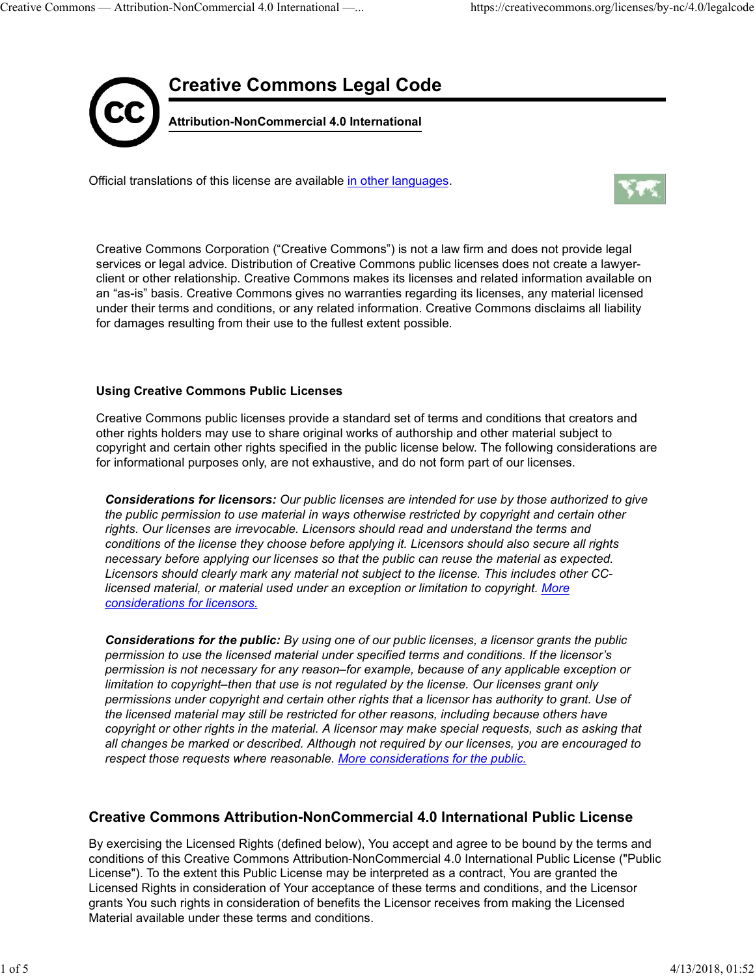

Official translations of this license are available in other languages.



Creative Commons Corporation ("Creative Commons") is not a law firm and does not provide legal services or legal advice. Distribution of Creative Commons public licenses does not create a lawyerclient or other relationship. Creative Commons makes its licenses and related information available on an "as-is" basis. Creative Commons gives no warranties regarding its licenses, any material licensed under their terms and conditions, or any related information. Creative Commons disclaims all liability for damages resulting from their use to the fullest extent possible.

### Using Creative Commons Public Licenses

Creative Commons public licenses provide a standard set of terms and conditions that creators and other rights holders may use to share original works of authorship and other material subject to copyright and certain other rights specified in the public license below. The following considerations are for informational purposes only, are not exhaustive, and do not form part of our licenses.

Considerations for licensors: Our public licenses are intended for use by those authorized to give the public permission to use material in ways otherwise restricted by copyright and certain other rights. Our licenses are irrevocable. Licensors should read and understand the terms and conditions of the license they choose before applying it. Licensors should also secure all rights necessary before applying our licenses so that the public can reuse the material as expected. Licensors should clearly mark any material not subject to the license. This includes other CClicensed material, or material used under an exception or limitation to copyright. More considerations for licensors.

Considerations for the public: By using one of our public licenses, a licensor grants the public permission to use the licensed material under specified terms and conditions. If the licensor's permission is not necessary for any reason–for example, because of any applicable exception or limitation to copyright–then that use is not regulated by the license. Our licenses grant only permissions under copyright and certain other rights that a licensor has authority to grant. Use of the licensed material may still be restricted for other reasons, including because others have copyright or other rights in the material. A licensor may make special requests, such as asking that all changes be marked or described. Although not required by our licenses, you are encouraged to respect those requests where reasonable. More considerations for the public. permission to use the licensed material under specified terms and conditions. If the licensor's<br>permission is not necessary for any reason-for example, because of any applicable exception or<br>limitation to copyright-then th

# Creative Commons Attribution-NonCommercial 4.0 International Public License

By exercising the Licensed Rights (defined below), You accept and agree to be bound by the terms and conditions of this Creative Commons Attribution-NonCommercial 4.0 International Public License ("Public License"). To the extent this Public License may be interpreted as a contract, You are granted the Licensed Rights in consideration of Your acceptance of these terms and conditions, and the Licensor grants You such rights in consideration of benefits the Licensor receives from making the Licensed Material available under these terms and conditions.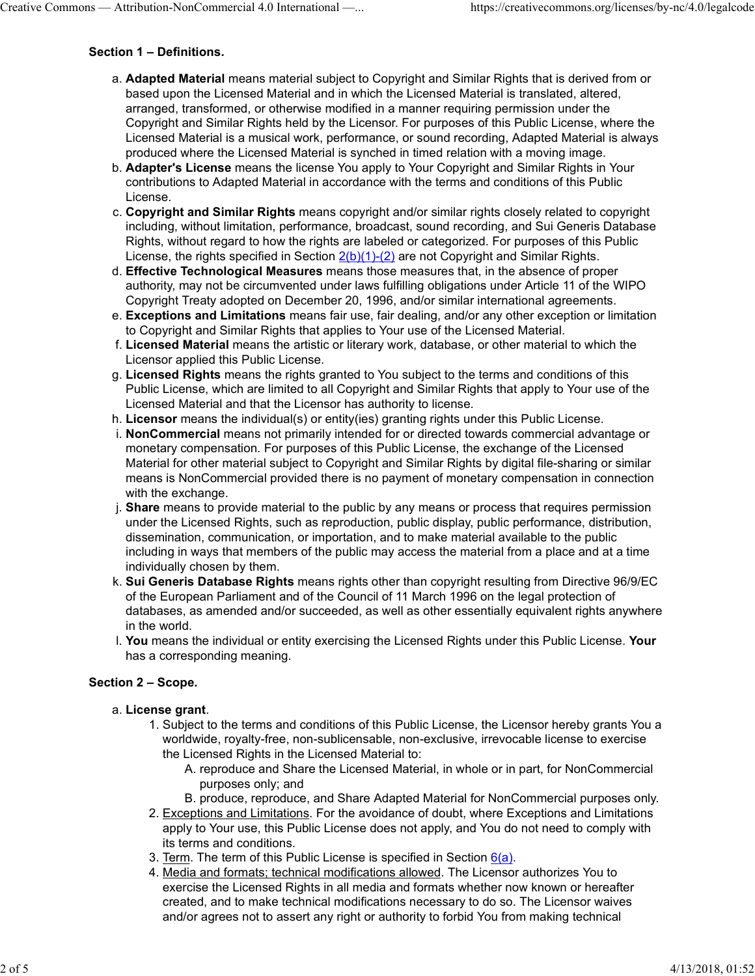### Section 1 – Definitions.

- a. **Adapted Material** means material subject to Copyright and Similar Rights that is derived from or based upon the Licensed Material and in which the Licensed Material is translated, altered, arranged, transformed, or otherwise modified in a manner requiring permission under the Copyright and Similar Rights held by the Licensor. For purposes of this Public License, where the Licensed Material is a musical work, performance, or sound recording, Adapted Material is always produced where the Licensed Material is synched in timed relation with a moving image. Creative Commons — Attribution-NonCommercial 4.0 International —... https://creativecommons.org/licenses/by-nc/4.0/legalcode<br>
Section 1 – Definitions.<br>
a. Adapted Material means material subject to Copyright and Similar Ri
	- b. **Adapter's License** means the license You apply to Your Copyright and Similar Rights in Your contributions to Adapted Material in accordance with the terms and conditions of this Public License.
	- c. C**opyright and Similar Rights** means copyright and/or similar rights closely related to copyright including, without limitation, performance, broadcast, sound recording, and Sui Generis Database Rights, without regard to how the rights are labeled or categorized. For purposes of this Public License, the rights specified in Section  $2(b)(1)-(2)$  are not Copyright and Similar Rights.
	- d. **Effective Technological Measures** means those measures that, in the absence of proper authority, may not be circumvented under laws fulfilling obligations under Article 11 of the WIPO Copyright Treaty adopted on December 20, 1996, and/or similar international agreements.
	- e. **Exceptions and Limitations** means fair use, fair dealing, and/or any other exception or limitation to Copyright and Similar Rights that applies to Your use of the Licensed Material.
	- f. **Licensed Material** means the artistic or literary work, database, or other material to which the Licensor applied this Public License.
	- g. **Licensed Rights** means the rights granted to You subject to the terms and conditions of this Public License, which are limited to all Copyright and Similar Rights that apply to Your use of the Licensed Material and that the Licensor has authority to license.
	- h. Licensor means the individual(s) or entity(ies) granting rights under this Public License.
	- i. **NonCommercial** means not primarily intended for or directed towards commercial advantage or monetary compensation. For purposes of this Public License, the exchange of the Licensed Material for other material subject to Copyright and Similar Rights by digital file-sharing or similar means is NonCommercial provided there is no payment of monetary compensation in connection with the exchange.
	- j. **Share** means to provide material to the public by any means or process that requires permission under the Licensed Rights, such as reproduction, public display, public performance, distribution, dissemination, communication, or importation, and to make material available to the public including in ways that members of the public may access the material from a place and at a time individually chosen by them.
	- k. **Sui Generis Database Rights** means rights other than copyright resulting from Directive 96/9/EC of the European Parliament and of the Council of 11 March 1996 on the legal protection of databases, as amended and/or succeeded, as well as other essentially equivalent rights anywhere in the world.
	- l. **You** means the individual or entity exercising the Licensed Rights under this Public License. **Your** has a corresponding meaning.

## Section 2 – Scope.

### a. License grant.

- 1. Subject to the terms and conditions of this Public License, the Licensor hereby grants You a worldwide, royalty-free, non-sublicensable, non-exclusive, irrevocable license to exercise the Licensed Rights in the Licensed Material to:
	- A. reproduce and Share the Licensed Material, in whole or in part, for NonCommercial purposes only; and
	- B. produce, reproduce, and Share Adapted Material for NonCommercial purposes only.
- 2. <u>Exceptions and Limitations</u>. For the avoidance of doubt, where Exceptions and Limitations apply to Your use, this Public License does not apply, and You do not need to comply with its terms and conditions.
- 3. Term. The term of this Public License is specified in Section  $6(a)$ .
- 4. <u>Media and formats; technical modifications allowed</u>. The Licensor authorizes You to exercise the Licensed Rights in all media and formats whether now known or hereafter created, and to make technical modifications necessary to do so. The Licensor waives and/or agrees not to assert any right or authority to forbid You from making technical has a corresponding meaning.<br>
3 **Section 2 – Scope.**<br>
2. License grant.<br>
1. Subject to the terms and conditions of this Public License, the Licensor hereby grants You a<br>
1. Subject to the terms and conditions able in the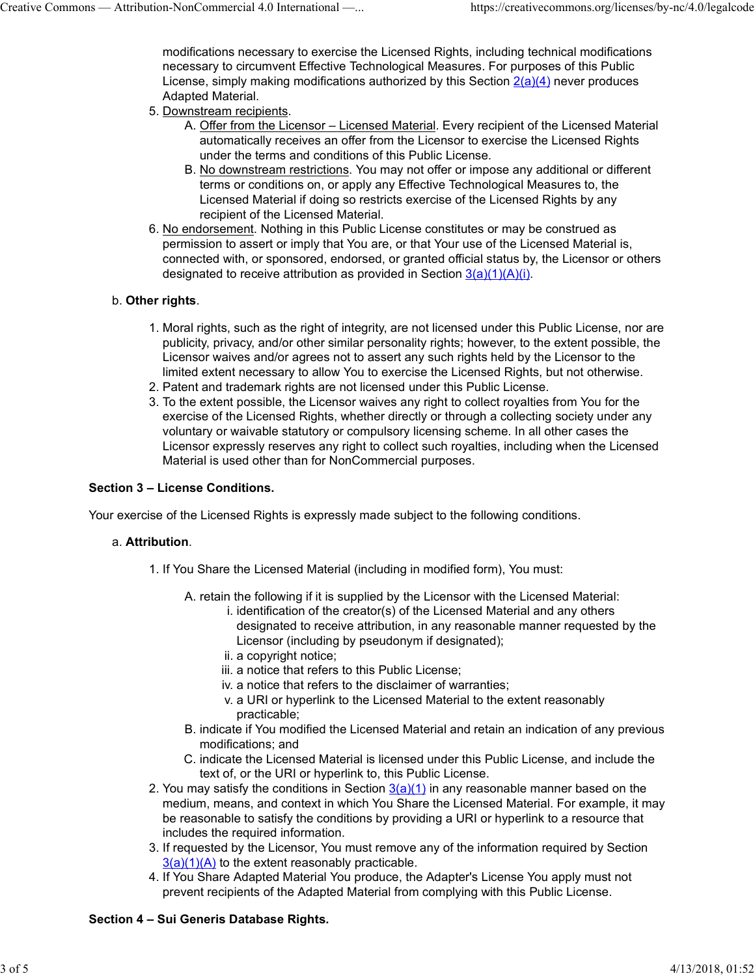modifications necessary to exercise the Licensed Rights, including technical modifications necessary to circumvent Effective Technological Measures. For purposes of this Public License, simply making modifications authorized by this Section  $2(a)(4)$  never produces Adapted Material. Creative Commons — Attribution-NonCommercial 4.0 International —... https://creativecommons.org/licenses/by-nc/4.0/legalcode<br>modifications necessary to exercise the Licensed Rights, including technical modifications<br>necess

- 5. <u>Downstream recipients</u>.
	- A. <u>Offer from the Licensor Licensed Material</u>. Every recipient of the Licensed Material automatically receives an offer from the Licensor to exercise the Licensed Rights under the terms and conditions of this Public License.
	- B. <u>No downstream restrictions</u>. You may not offer or impose any additional or different terms or conditions on, or apply any Effective Technological Measures to, the Licensed Material if doing so restricts exercise of the Licensed Rights by any recipient of the Licensed Material.
- 6. No endorsement. Nothing in this Public License constitutes or may be construed as permission to assert or imply that You are, or that Your use of the Licensed Material is, connected with, or sponsored, endorsed, or granted official status by, the Licensor or others 6. <u>No endorsement</u>. Nothing in this Public License constitutes or may be construed as permission to assert or imply that You are, or that Your use of the Licensed Material is, connected with, or sponsored, endorsed, or g

## b. Other rights. **b.** Other rights.

- 1. Moral rights, such as the right of integrity, are not licensed under this Public License, nor are publicity, privacy, and/or other similar personality rights; however, to the extent possible, the Licensor waives and/or agrees not to assert any such rights held by the Licensor to the limited extent necessary to allow You to exercise the Licensed Rights, but not otherwise.
- 2. Patent and trademark rights are not licensed under this Public License.
- 3. To the extent possible, the Licensor waives any right to collect royalties from You for the exercise of the Licensed Rights, whether directly or through a collecting society under any voluntary or waivable statutory or compulsory licensing scheme. In all other cases the Licensor expressly reserves any right to collect such royalties, including when the Licensed Material is used other than for NonCommercial purposes.

### Section 3 – License Conditions.

Your exercise of the Licensed Rights is expressly made subject to the following conditions.

### Attribution. a.

- 1. If You Share the Licensed Material (including in modified form), You must:
	- A. retain the following if it is supplied by the Licensor with the Licensed Material:
		- i. identification of the creator(s) of the Licensed Material and any others designated to receive attribution, in any reasonable manner requested by the Licensor (including by pseudonym if designated);
		- ii. a copyright notice;
		- iii. a notice that refers to this Public License;
		- iv. a notice that refers to the disclaimer of warranties;
		- a URI or hyperlink to the Licensed Material to the extent reasonably v. practicable;
	- B. indicate if You modified the Licensed Material and retain an indication of any previous modifications; and
	- C. indicate the Licensed Material is licensed under this Public License, and include the text of, or the URI or hyperlink to, this Public License.
- 2. You may satisfy the conditions in Section <u>3(a)(1)</u> in any reasonable manner based on the medium, means, and context in which You Share the Licensed Material. For example, it may be reasonable to satisfy the conditions by providing a URI or hyperlink to a resource that includes the required information. ii. a copyright notice;<br>
iii. a notice that refers to this Public License;<br>
iv. a notice that refers to the disclaimer of warranties;<br>
v. a URI or hyperlink to the Licensed Material to the extent reasonably<br>
practicable;<br>
	- 3. If requested by the Licensor, You must remove any of the information required by Section  $3(a)(1)(A)$  to the extent reasonably practicable.
	- 4. If You Share Adapted Material You produce, the Adapter's License You apply must not prevent recipients of the Adapted Material from complying with this Public License.

## Section 4 – Sui Generis Database Rights.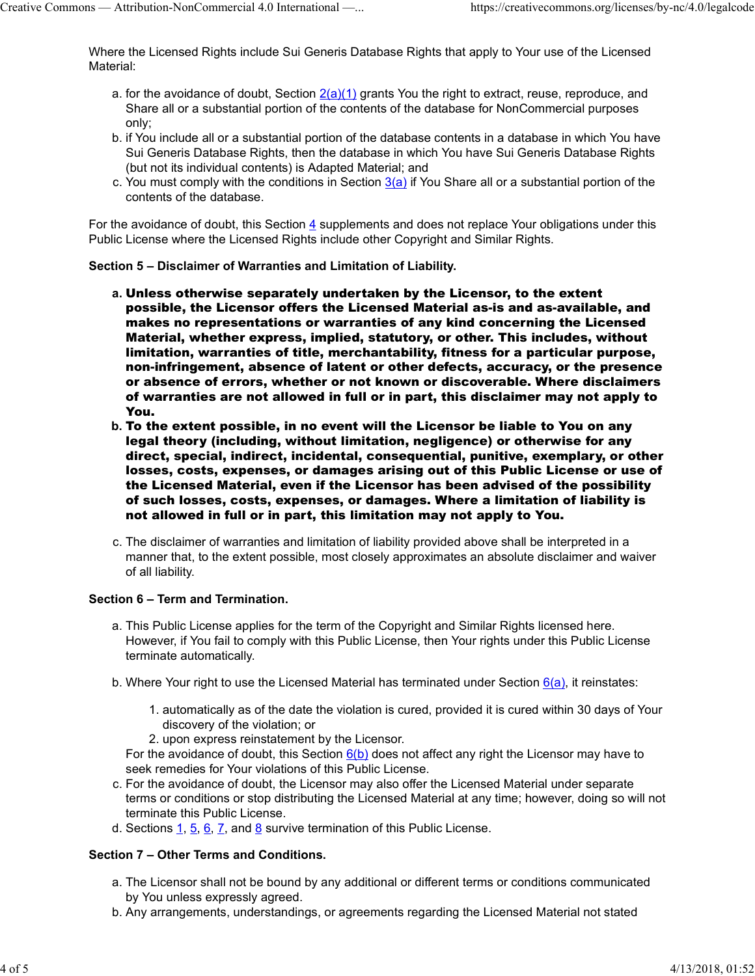Where the Licensed Rights include Sui Generis Database Rights that apply to Your use of the Licensed Material: Creative Commons — Attribution-NonCommercial 4.0 International —... https://creativecommons.org/licenses/by-nc/4.0/legalcode<br>
Where the Licensed Rights include Sui Generis Database Rights that apply to Your use of the Lice

- a. for the avoidance of doubt, Section <u>2(a)(1)</u> grants You the right to extract, reuse, reproduce, and Share all or a substantial portion of the contents of the database for NonCommercial purposes only;
- b. if You include all or a substantial portion of the database contents in a database in which You have Sui Generis Database Rights, then the database in which You have Sui Generis Database Rights (but not its individual contents) is Adapted Material; and
- c. You must comply with the conditions in Section <u>3(a)</u> if You Share all or a substantial portion of the contents of the database.

For the avoidance of doubt, this Section 4 supplements and does not replace Your obligations under this Public License where the Licensed Rights include other Copyright and Similar Rights.

#### Section 5 – Disclaimer of Warranties and Limitation of Liability.

- a. Unless otherwise separately undertaken by the Licensor, to the extent possible, the Licensor offers the Licensed Material as-is and as-available, and makes no representations or warranties of any kind concerning the Licensed Material, whether express, implied, statutory, or other. This includes, without limitation, warranties of title, merchantability, fitness for a particular purpose, non-infringement, absence of latent or other defects, accuracy, or the presence or absence of errors, whether or not known or discoverable. Where disclaimers of warranties are not allowed in full or in part, this disclaimer may not apply to You.
- b. To the extent possible, in no event will the Licensor be liable to You on any legal theory (including, without limitation, negligence) or otherwise for any direct, special, indirect, incidental, consequential, punitive, exemplary, or other losses, costs, expenses, or damages arising out of this Public License or use of the Licensed Material, even if the Licensor has been advised of the possibility of such losses, costs, expenses, or damages. Where a limitation of liability is not allowed in full or in part, this limitation may not apply to You.
- c. The disclaimer of warranties and limitation of liability provided above shall be interpreted in a manner that, to the extent possible, most closely approximates an absolute disclaimer and waiver of all liability.

#### Section 6 – Term and Termination.

- a. This Public License applies for the term of the Copyright and Similar Rights licensed here. However, if You fail to comply with this Public License, then Your rights under this Public License terminate automatically.
- b. Where Your right to use the Licensed Material has terminated under Section <u>6(a),</u> it reinstates:
	- 1. automatically as of the date the violation is cured, provided it is cured within 30 days of Your discovery of the violation; or
	- 2. upon express reinstatement by the Licensor.

For the avoidance of doubt, this Section  $6(b)$  does not affect any right the Licensor may have to seek remedies for Your violations of this Public License.

- c. For the avoidance of doubt, the Licensor may also offer the Licensed Material under separate terms or conditions or stop distributing the Licensed Material at any time; however, doing so will not terminate this Public License. terminate automatically.<br>
b. Where Your right to use the Licensed Material has terminated under Section  $\frac{6(a)}{6(a)}$ , it reinstates:<br>
1. automatically as of the date the violation is cured, provided it is cured within 30
	- d. Sections  $\underline{1}$ ,  $\underline{5}$ ,  $\underline{6}$ ,  $\underline{7}$ , and  $\underline{8}$  survive termination of this Public License.

#### Section 7 – Other Terms and Conditions.

- a. The Licensor shall not be bound by any additional or different terms or conditions communicated by You unless expressly agreed.
- b. Any arrangements, understandings, or agreements regarding the Licensed Material not stated